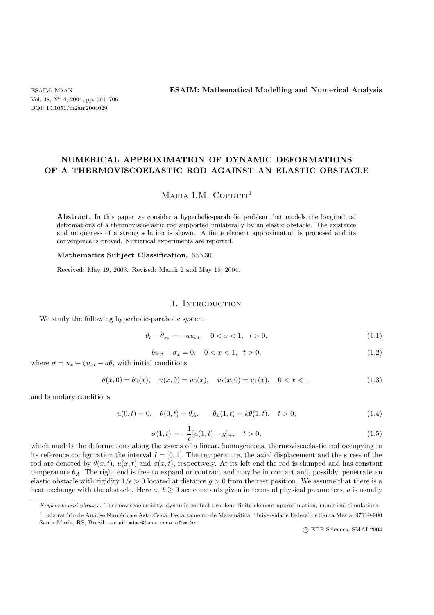ESAIM: M2AN **ESAIM: Mathematical Modelling and Numerical Analysis**

# **NUMERICAL APPROXIMATION OF DYNAMIC DEFORMATIONS OF A THERMOVISCOELASTIC ROD AGAINST AN ELASTIC OBSTACLE**

# MARIA I.M. COPETTI<sup>1</sup>

**Abstract.** In this paper we consider a hyperbolic-parabolic problem that models the longitudinal deformations of a thermoviscoelastic rod supported unilaterally by an elastic obstacle. The existence and uniqueness of a strong solution is shown. A finite element approximation is proposed and its convergence is proved. Numerical experiments are reported.

#### **Mathematics Subject Classification.** 65N30.

Received: May 19, 2003. Revised: March 2 and May 18, 2004.

#### 1. INTRODUCTION

We study the following hyperbolic-parabolic system

$$
\theta_t - \theta_{xx} = -au_{xt}, \quad 0 < x < 1, \quad t > 0,\tag{1.1}
$$

$$
bu_{tt} - \sigma_x = 0, \quad 0 < x < 1, \quad t > 0,\tag{1.2}
$$

where  $\sigma = u_x + \zeta u_{xt} - a\theta$ , with initial conditions

$$
\theta(x,0) = \theta_0(x), \quad u(x,0) = u_0(x), \quad u_t(x,0) = u_1(x), \quad 0 < x < 1,\tag{1.3}
$$

and boundary conditions

$$
u(0,t) = 0, \quad \theta(0,t) = \theta_A, \quad -\theta_x(1,t) = k\theta(1,t), \quad t > 0,
$$
\n(1.4)

$$
\sigma(1,t) = -\frac{1}{\epsilon}[u(1,t) - g]_+, \quad t > 0,
$$
\n(1.5)

which models the deformations along the x-axis of a linear, homogeneous, thermoviscoelastic rod occupying in its reference configuration the interval  $I = [0, 1]$ . The temperature, the axial displacement and the stress of the rod are denoted by  $\theta(x, t)$ ,  $u(x, t)$  and  $\sigma(x, t)$ , respectively. At its left end the rod is clamped and has constant temperature  $\theta_A$ . The right end is free to expand or contract and may be in contact and, possibly, penetrate an elastic obstacle with rigidity  $1/\epsilon > 0$  located at distance  $q > 0$  from the rest position. We assume that there is a heat exchange with the obstacle. Here a,  $b \ge 0$  are constants given in terms of physical parameters, a is usually

c EDP Sciences, SMAI 2004

*Keywords and phrases.* Thermoviscoelasticity, dynamic contact problem, finite element approximation, numerical simulations.

 $^1$  Laboratório de Análise Numérica e Astrofísica, Departamento de Matemática, Universidade Federal de Santa Maria, 97119-900 Santa Maria, RS, Brazil. e-mail: mimc@lana.ccne.ufsm.br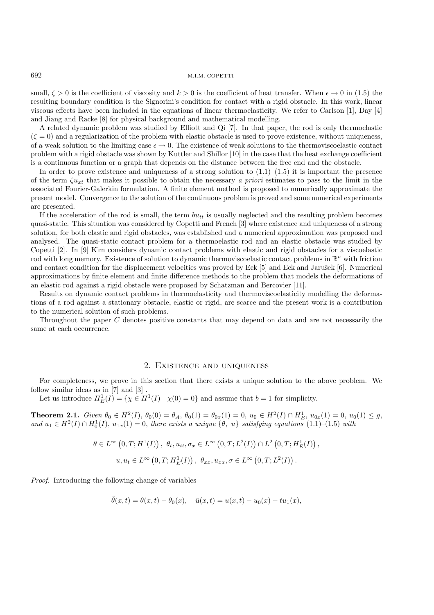small,  $\zeta > 0$  is the coefficient of viscosity and  $k > 0$  is the coefficient of heat transfer. When  $\epsilon \to 0$  in (1.5) the resulting boundary condition is the Signorini's condition for contact with a rigid obstacle. In this work, linear viscous effects have been included in the equations of linear thermoelasticity. We refer to Carlson [1], Day [4] and Jiang and Racke [8] for physical background and mathematical modelling.

A related dynamic problem was studied by Elliott and Qi [7]. In that paper, the rod is only thermoelastic  $(\zeta = 0)$  and a regularization of the problem with elastic obstacle is used to prove existence, without uniqueness, of a weak solution to the limiting case  $\epsilon \to 0$ . The existence of weak solutions to the thermoviscoelastic contact problem with a rigid obstacle was shown by Kuttler and Shillor [10] in the case that the heat exchange coefficient is a continuous function or a graph that depends on the distance between the free end and the obstacle.

In order to prove existence and uniqueness of a strong solution to  $(1.1)$ – $(1.5)$  it is important the presence of the term  $\zeta u_{xt}$  that makes it possible to obtain the necessary *a priori* estimates to pass to the limit in the associated Fourier-Galerkin formulation. A finite element method is proposed to numerically approximate the present model. Convergence to the solution of the continuous problem is proved and some numerical experiments are presented.

If the acceleration of the rod is small, the term  $but<sub>tt</sub>$  is usually neglected and the resulting problem becomes quasi-static. This situation was considered by Copetti and French [3] where existence and uniqueness of a strong solution, for both elastic and rigid obstacles, was established and a numerical approximation was proposed and analysed. The quasi-static contact problem for a thermoelastic rod and an elastic obstacle was studied by Copetti [2]. In [9] Kim considers dynamic contact problems with elastic and rigid obstacles for a viscoelastic rod with long memory. Existence of solution to dynamic thermoviscoelastic contact problems in  $\mathbb{R}^n$  with friction and contact condition for the displacement velocities was proved by Eck  $[5]$  and Eck and Jarušek  $[6]$ . Numerical approximations by finite element and finite difference methods to the problem that models the deformations of an elastic rod against a rigid obstacle were proposed by Schatzman and Bercovier [11].

Results on dynamic contact problems in thermoelasticity and thermoviscoelasticity modelling the deformations of a rod against a stationary obstacle, elastic or rigid, are scarce and the present work is a contribution to the numerical solution of such problems.

Throughout the paper C denotes positive constants that may depend on data and are not necessarily the same at each occurrence.

## 2. Existence and uniqueness

For completeness, we prove in this section that there exists a unique solution to the above problem. We follow similar ideas as in [7] and [3] .

Let us introduce  $H_E^1(I) = \{ \chi \in H^1(I) \mid \chi(0) = 0 \}$  and assume that  $b = 1$  for simplicity.

**Theorem 2.1.** *Given*  $\theta_0 \in H^2(I)$ ,  $\theta_0(0) = \theta_A$ ,  $\theta_0(1) = \theta_{0x}(1) = 0$ ,  $u_0 \in H^2(I) \cap H^1_E$ ,  $u_{0x}(1) = 0$ ,  $u_0(1) \leq g$ , and  $u_1 \in H^2(I) \cap H_0^1(I)$ ,  $u_{1x}(1) = 0$ , there exists a unique  $\{\theta, u\}$  satisfying equations  $(1.1)$ – $(1.5)$  with

$$
\theta \in L^{\infty}(0,T; H^{1}(I)), \ \theta_{t}, u_{tt}, \sigma_{x} \in L^{\infty}(0,T; L^{2}(I)) \cap L^{2}(0,T; H^{1}_{E}(I)),
$$
  

$$
u, u_{t} \in L^{\infty}(0,T; H^{1}_{E}(I)), \ \theta_{xx}, u_{xx}, \sigma \in L^{\infty}(0,T; L^{2}(I)).
$$

*Proof.* Introducing the following change of variables

$$
\tilde{\theta}(x,t) = \theta(x,t) - \theta_0(x), \quad \tilde{u}(x,t) = u(x,t) - u_0(x) - tu_1(x),
$$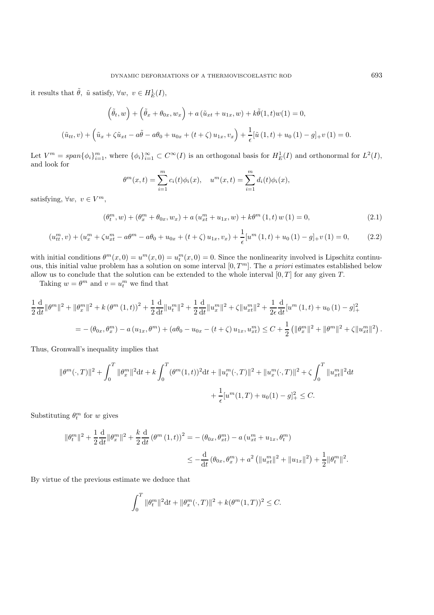it results that  $\tilde{\theta}$ ,  $\tilde{u}$  satisfy,  $\forall w, v \in H^1_E(I)$ ,

$$
\left(\tilde{\theta}_{t}, w\right) + \left(\tilde{\theta}_{x} + \theta_{0x}, w_{x}\right) + a\left(\tilde{u}_{xt} + u_{1x}, w\right) + k\tilde{\theta}(1, t)w(1) = 0,
$$
\n
$$
\left(\tilde{u}_{tt}, v\right) + \left(\tilde{u}_{x} + \zeta \tilde{u}_{xt} - a\tilde{\theta} - a\theta_{0} + u_{0x} + (t + \zeta)u_{1x}, v_{x}\right) + \frac{1}{\epsilon}\left[\tilde{u}\left(1, t\right) + u_{0}\left(1\right) - g\right] + v\left(1\right) = 0.
$$

Let  $V^m = span{\phi_i}_{i=1}^m$ , where  ${\phi_i}_{i=1}^{\infty} \subset C^{\infty}(I)$  is an orthogonal basis for  $H_E^1(I)$  and orthonormal for  $L^2(I)$ , and look for

$$
\theta^m(x,t) = \sum_{i=1}^m c_i(t)\phi_i(x), \quad u^m(x,t) = \sum_{i=1}^m d_i(t)\phi_i(x),
$$

satisfying,  $\forall w, v \in V^m$ ,

$$
(\theta_t^m, w) + (\theta_x^m + \theta_{0x}, w_x) + a(u_{xt}^m + u_{1x}, w) + k\theta^m (1, t) w (1) = 0,
$$
\n(2.1)

$$
(u_{tt}^m, v) + (u_x^m + \zeta u_{xt}^m - a\theta^m - a\theta_0 + u_{0x} + (t + \zeta) u_{1x}, v_x) + \frac{1}{\epsilon} [u^m(1, t) + u_0(1) - g]_+ v(1) = 0, \qquad (2.2)
$$

with initial conditions  $\theta^m(x,0) = u^m(x,0) = u^m(x,0) = 0$ . Since the nonlinearity involved is Lipschitz continuous, this initial value problem has a solution on some interval  $[0, T<sup>m</sup>]$ . The *a priori* estimates established below allow us to conclude that the solution can be extended to the whole interval  $[0, T]$  for any given T.

Taking  $w = \theta^m$  and  $v = u_t^m$  we find that

$$
\frac{1}{2}\frac{\mathrm{d}}{\mathrm{d}t}\|\theta^m\|^2 + \|\theta_x^m\|^2 + k\left(\theta^m\left(1,t\right)\right)^2 + \frac{1}{2}\frac{\mathrm{d}}{\mathrm{d}t}\|u_t^m\|^2 + \frac{1}{2}\frac{\mathrm{d}}{\mathrm{d}t}\|u_x^m\|^2 + \zeta\|u_{xt}^m\|^2 + \frac{1}{2\epsilon}\frac{\mathrm{d}}{\mathrm{d}t}\left[u^m\left(1,t\right) + u_0\left(1\right) - g\right]_+^2
$$
\n
$$
= -\left(\theta_{0x}, \theta_x^m\right) - a\left(u_{1x}, \theta^m\right) + \left(a\theta_0 - u_{0x} - \left(t + \zeta\right)u_{1x}, u_{xt}^m\right) \leq C + \frac{1}{2}\left(\|\theta_x^m\|^2 + \|\theta^m\|^2 + \zeta\|u_{xt}^m\|^2\right).
$$

Thus, Gronwall's inequality implies that

$$
\|\theta^m(\cdot,T)\|^2 + \int_0^T \|\theta_x^m\|^2 dt + k \int_0^T (\theta^m(1,t))^2 dt + \|u_t^m(\cdot,T)\|^2 + \|u_x^m(\cdot,T)\|^2 + \zeta \int_0^T \|u_{xt}^m\|^2 dt
$$
  
+  $\frac{1}{\epsilon} [u^m(1,T) + u_0(1) - g]_+^2 \leq C.$ 

Substituting  $\theta_t^m$  for w gives

$$
\|\theta_t^m\|^2 + \frac{1}{2}\frac{d}{dt}\|\theta_x^m\|^2 + \frac{k}{2}\frac{d}{dt}(\theta^m(1,t))^2 = -(\theta_{0x}, \theta_{xt}^m) - a(u_{xt}^m + u_{1x}, \theta_t^m)
$$
  

$$
\leq -\frac{d}{dt}(\theta_{0x}, \theta_x^m) + a^2(\|u_{xt}^m\|^2 + \|u_{1x}\|^2) + \frac{1}{2}\|\theta_t^m\|^2.
$$

By virtue of the previous estimate we deduce that

$$
\int_0^T \|\theta_t^m\|^2 dt + \|\theta_x^m(\cdot,T)\|^2 + k(\theta^m(1,T))^2 \le C.
$$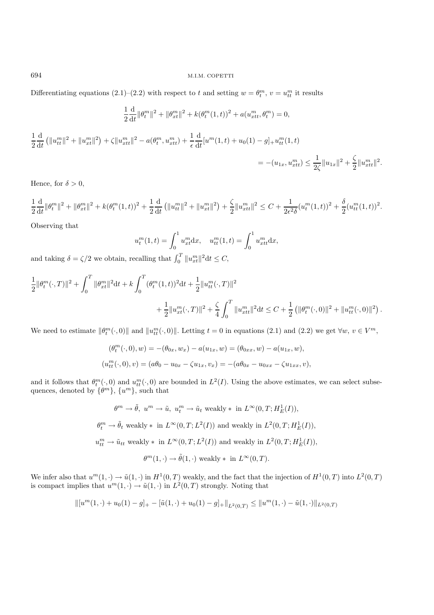Differentiating equations (2.1)–(2.2) with respect to t and setting  $w = \theta_t^m$ ,  $v = u_t^m$  it results

$$
\frac{1}{2}\frac{d}{dt}\|\theta_t^m\|^2 + \|\theta_{xt}^m\|^2 + k(\theta_t^m(1,t))^2 + a(u_{xtt}^m, \theta_t^m) = 0,
$$
  

$$
\frac{1}{2}\frac{d}{dt}\left(\|u_{tt}^m\|^2 + \|u_{xtt}^m\|^2\right) + \zeta\|u_{xtt}^m\|^2 - a(\theta_t^m, u_{xtt}^m) + \frac{1}{\epsilon}\frac{d}{dt}[u^m(1,t) + u_0(1) - g] + u_{tt}^m(1,t)
$$

$$
= -(u_{1x}, u_{xtt}^m) \le \frac{1}{2\zeta}\|u_{1x}\|^2 + \frac{\zeta}{2}\|u_{xtt}^m\|^2.
$$

Hence, for  $\delta > 0$ ,

$$
\frac{1}{2}\frac{\mathrm{d}}{\mathrm{d}t}\|\theta_t^m\|^2 + \|\theta_{xt}^m\|^2 + k(\theta_t^m(1,t))^2 + \frac{1}{2}\frac{\mathrm{d}}{\mathrm{d}t}\left(\|u_{tt}^m\|^2 + \|u_{xt}^m\|^2\right) + \frac{\zeta}{2}\|u_{xtt}^m\|^2 \leq C + \frac{1}{2\epsilon^2\delta}(u_t^m(1,t))^2 + \frac{\delta}{2}(u_{tt}^m(1,t))^2.
$$

Observing that

$$
u_t^m(1,t) = \int_0^1 u_{xt}^m dx, \quad u_{tt}^m(1,t) = \int_0^1 u_{xtt}^m dx,
$$

and taking  $\delta = \zeta/2$  we obtain, recalling that  $\int_0^T \|u_{xt}^m\|^2 dt \leq C$ ,

$$
\begin{aligned} \frac{1}{2}\|\theta_{t}^{m}(\cdot,T)\|^{2}+\int_{0}^{T}\|\theta_{xt}^{m}\|^{2}\mathrm{d}t+k\int_{0}^{T}(\theta_{t}^{m}(1,t))^{2}\mathrm{d}t+\frac{1}{2}\|u_{tt}^{m}(\cdot,T)\|^{2}\\ &+\frac{1}{2}\|u_{xt}^{m}(\cdot,T)\|^{2}+\frac{\zeta}{4}\int_{0}^{T}\|u_{xtt}^{m}\|^{2}\mathrm{d}t\leq C+\frac{1}{2}\left(\|\theta_{t}^{m}(\cdot,0)\|^{2}+\|u_{tt}^{m}(\cdot,0)\|^{2}\right).\end{aligned}
$$

We need to estimate  $\|\theta_t^m(\cdot,0)\|$  and  $\|u_{tt}^m(\cdot,0)\|$ . Letting  $t=0$  in equations (2.1) and (2.2) we get  $\forall w, v \in V^m$ ,

$$
(\theta_t^m(\cdot,0), w) = -(\theta_{0x}, w_x) - a(u_{1x}, w) = (\theta_{0xx}, w) - a(u_{1x}, w),
$$
  

$$
(u_{tt}^m(\cdot,0), v) = (a\theta_0 - u_{0x} - \zeta u_{1x}, v_x) = -(a\theta_{0x} - u_{0xx} - \zeta u_{1xx}, v),
$$

and it follows that  $\theta_t^m(\cdot,0)$  and  $u_{tt}^m(\cdot,0)$  are bounded in  $L^2(I)$ . Using the above estimates, we can select subsequences, denoted by  $\{\theta^m\}$ ,  $\{u^m\}$ , such that

> $\theta^m \to \tilde{\theta}, \ u^m \to \tilde{u}, \ u_t^m \to \tilde{u}_t \text{ weakly } * \text{ in } L^{\infty}(0,T; H^1_E(I)),$  $\theta_t^m \to \tilde{\theta}_t$  weakly \* in  $L^{\infty}(0,T; L^2(I))$  and weakly in  $L^2(0,T; H^1_E(I)),$  $u_{tt}^m \to \tilde{u}_{tt}$  weakly \* in  $L^{\infty}(0,T; L^2(I))$  and weakly in  $L^2(0,T; H^1_E(I)),$  $\theta^m(1, \cdot) \to \tilde{\theta}(1, \cdot)$  weakly  $*$  in  $L^{\infty}(0, T)$ .

We infer also that  $u^m(1, \cdot) \to \tilde{u}(1, \cdot)$  in  $H^1(0, T)$  weakly, and the fact that the injection of  $H^1(0, T)$  into  $L^2(0, T)$ is compact implies that  $u^m(1, \cdot) \to \tilde{u}(1, \cdot)$  in  $L^2(0, T)$  strongly. Noting that

$$
\| [u^m(1,\cdot) + u_0(1) - g]_+ - [\tilde{u}(1,\cdot) + u_0(1) - g]_+ \|_{L^2(0,T)} \leq \| u^m(1,\cdot) - \tilde{u}(1,\cdot) \|_{L^2(0,T)}
$$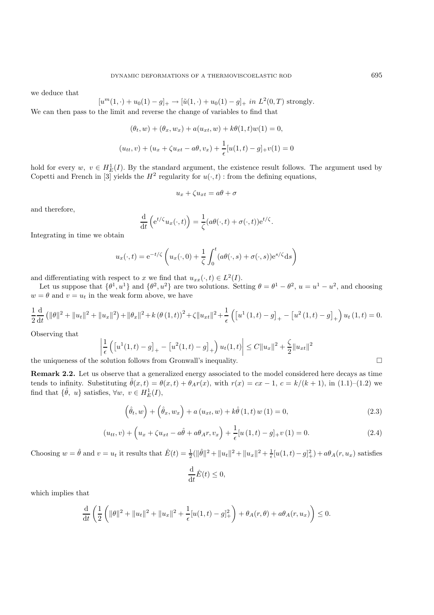we deduce that

$$
[um(1,\cdot)+u0(1)-g]_{+} \to [\tilde{u}(1,\cdot)+u_{0}(1)-g]_{+} \text{ in } L^{2}(0,T) \text{ strongly.}
$$

We can then pass to the limit and reverse the change of variables to find that

$$
(\theta_t, w) + (\theta_x, w_x) + a(u_{xt}, w) + k\theta(1, t)w(1) = 0,
$$
  

$$
(u_{tt}, v) + (u_x + \zeta u_{xt} - a\theta, v_x) + \frac{1}{\epsilon}[u(1, t) - g]_+v(1) = 0
$$

hold for every  $w, v \in H_E^1(I)$ . By the standard argument, the existence result follows. The argument used by Copetti and French in [3] yields the  $H^2$  regularity for  $u(\cdot,t)$ : from the defining equations,

$$
u_x + \zeta u_{xt} = a\theta + \sigma
$$

and therefore,

$$
\frac{\mathrm{d}}{\mathrm{d}t}\left(e^{t/\zeta}u_x(\cdot,t)\right) = \frac{1}{\zeta}(a\theta(\cdot,t) + \sigma(\cdot,t))e^{t/\zeta}.
$$

Integrating in time we obtain

$$
u_x(\cdot, t) = e^{-t/\zeta} \left( u_x(\cdot, 0) + \frac{1}{\zeta} \int_0^t (a\theta(\cdot, s) + \sigma(\cdot, s)) e^{s/\zeta} ds \right)
$$

and differentiating with respect to x we find that  $u_{xx}(\cdot, t) \in L^2(I)$ .

Let us suppose that  $\{\theta^1, u^1\}$  and  $\{\theta^2, u^2\}$  are two solutions. Setting  $\theta = \theta^1 - \theta^2$ ,  $u = u^1 - u^2$ , and choosing  $w = \theta$  and  $v = u_t$  in the weak form above, we have

$$
\frac{1}{2}\frac{d}{dt}\left(\|\theta\|^{2}+\|u_{t}\|^{2}+\|u_{x}\|^{2}\right)+\|\theta_{x}\|^{2}+k\left(\theta\left(1,t\right)\right)^{2}+\zeta\|u_{xt}\|^{2}+\frac{1}{\epsilon}\left(\left[u^{1}\left(1,t\right)-g\right]_{+}-\left[u^{2}\left(1,t\right)-g\right]_{+}\right)u_{t}\left(1,t\right)=0.
$$

Observing that

$$
\left| \frac{1}{\epsilon} \left( \left[ u^{1}(1,t) - g \right]_{+} - \left[ u^{2}(1,t) - g \right]_{+} \right) u_{t}(1,t) \right| \leq C \| u_{x} \|^{2} + \frac{\zeta}{2} \| u_{xt} \|^{2}
$$

the uniqueness of the solution follows from Gronwall's inequality.  $\Box$ 

**Remark 2.2.** Let us observe that a generalized energy associated to the model considered here decays as time tends to infinity. Substituting  $\hat{\theta}(x,t) = \theta(x,t) + \theta_A r(x)$ , with  $r(x) = cx - 1$ ,  $c = k/(k+1)$ , in (1.1)–(1.2) we find that  $\{\hat{\theta}, u\}$  satisfies,  $\forall w, v \in H_E^1(I)$ ,

$$
\left(\hat{\theta}_t, w\right) + \left(\hat{\theta}_x, w_x\right) + a\left(u_{xt}, w\right) + k\hat{\theta}\left(1, t\right) w\left(1\right) = 0,\tag{2.3}
$$

$$
(u_{tt}, v) + \left(u_x + \zeta u_{xt} - a\hat{\theta} + a\theta_A r, v_x\right) + \frac{1}{\epsilon} [u(1, t) - g]_+ v(1) = 0.
$$
 (2.4)

Choosing  $w = \hat{\theta}$  and  $v = u_t$  it results that  $\hat{E}(t) = \frac{1}{2}(\|\hat{\theta}\|^2 + \|u_t\|^2 + \|u_x\|^2 + \frac{1}{\epsilon}[u(1,t) - g]_+^2) + a\theta_A(r, u_x)$  satisfies

$$
\frac{\mathrm{d}}{\mathrm{d}t}\hat{E}(t) \le 0,
$$

which implies that

$$
\frac{d}{dt}\left(\frac{1}{2}\left(\|\theta\|^2 + \|u_t\|^2 + \|u_x\|^2 + \frac{1}{\epsilon}[u(1,t) - g]_+^2\right) + \theta_A(r,\theta) + a\theta_A(r,u_x)\right) \le 0.
$$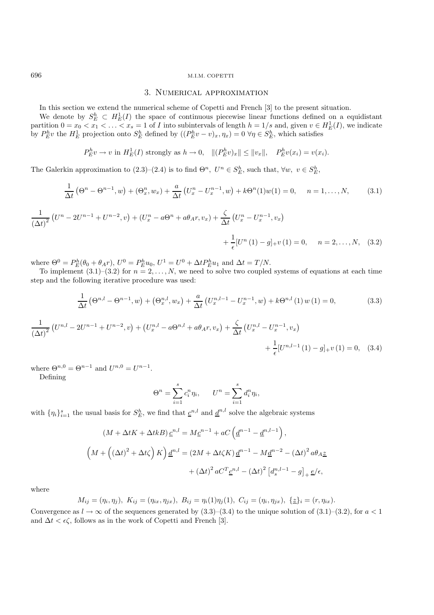## 3. Numerical approximation

In this section we extend the numerical scheme of Copetti and French [3] to the present situation.

We denote by  $S_E^h \subset H_E^1(I)$  the space of continuous piecewise linear functions defined on a equidistant partition  $0 = x_0 < x_1 < \ldots < x_s = 1$  of I into subintervals of length  $h = 1/s$  and, given  $v \in H_E^1(I)$ , we indicate by  $P_E^h v$  the  $H_E^1$  projection onto  $S_E^h$  defined by  $((P_E^h v - v)_x, \eta_x) = 0 \,\forall \eta \in S_E^h$ , which satisfies

$$
P_E^h v \to v \text{ in } H_E^1(I) \text{ strongly as } h \to 0, \quad ||(P_E^h v)_x|| \le ||v_x||, \quad P_E^h v(x_i) = v(x_i).
$$

The Galerkin approximation to  $(2.3)-(2.4)$  is to find  $\Theta^n$ ,  $U^n \in S_E^h$ , such that,  $\forall w, v \in S_E^h$ ,

$$
\frac{1}{\Delta t} \left( \Theta^n - \Theta^{n-1}, w \right) + \left( \Theta_x^n, w_x \right) + \frac{a}{\Delta t} \left( U_x^n - U_x^{n-1}, w \right) + k \Theta^n(1) w(1) = 0, \quad n = 1, \dots, N,
$$
 (3.1)

$$
\frac{1}{(\Delta t)^2} \left( U^n - 2U^{n-1} + U^{n-2}, v \right) + \left( U_x^n - a\Theta^n + a\theta_A r, v_x \right) + \frac{\zeta}{\Delta t} \left( U_x^n - U_x^{n-1}, v_x \right) + \frac{1}{\epsilon} \left[ U^n (1) - g \right]_{+} v (1) = 0, \quad n = 2, ..., N, \quad (3.2)
$$

where  $\Theta^0 = P_E^h(\theta_0 + \theta_A r)$ ,  $U^0 = P_E^h u_0$ ,  $U^1 = U^0 + \Delta t P_E^h u_1$  and  $\Delta t = T/N$ .

To implement  $(3.1)$ – $(3.2)$  for  $n = 2, \ldots, N$ , we need to solve two coupled systems of equations at each time step and the following iterative procedure was used:

$$
\frac{1}{\Delta t} \left( \Theta^{n,l} - \Theta^{n-1}, w \right) + \left( \Theta_x^{n,l}, w_x \right) + \frac{a}{\Delta t} \left( U_x^{n,l-1} - U_x^{n-1}, w \right) + k \Theta^{n,l} \left( 1 \right) w \left( 1 \right) = 0, \tag{3.3}
$$

$$
\frac{1}{(\Delta t)^2} \left( U^{n,l} - 2U^{n-1} + U^{n-2}, v \right) + \left( U_x^{n,l} - a\Theta^{n,l} + a\theta_A r, v_x \right) + \frac{\zeta}{\Delta t} \left( U_x^{n,l} - U_x^{n-1}, v_x \right) + \frac{1}{\epsilon} [U^{n,l-1}(1) - g]_{+} v (1) = 0, \quad (3.4)
$$

where  $\Theta^{n,0} = \Theta^{n-1}$  and  $U^{n,0} = U^{n-1}$ .

Defining

$$
\Theta^n = \sum_{i=1}^s c_i^n \eta_i, \qquad U^n = \sum_{i=1}^s d_i^n \eta_i,
$$

with  $\{\eta_i\}_{i=1}^s$  the usual basis for  $S_E^h$ , we find that  $\underline{c}^{n,l}$  and  $\underline{d}^{n,l}$  solve the algebraic systems

$$
(M + \Delta t K + \Delta t k) \underline{c}^{n,l} = M \underline{c}^{n-1} + aC \left(\underline{d}^{n-1} - \underline{d}^{n,l-1}\right),
$$
  

$$
\left(M + \left((\Delta t)^2 + \Delta t \zeta\right) K\right) \underline{d}^{n,l} = (2M + \Delta t \zeta K) \underline{d}^{n-1} - M \underline{d}^{n-2} - (\Delta t)^2 a \theta_A \underline{z} + (\Delta t)^2 a C^T \underline{c}^{n,l} - (\Delta t)^2 \left[d_s^{n,l-1} - g\right]_+ \underline{e}/\epsilon,
$$

where

$$
M_{ij} = (\eta_i, \eta_j), \ K_{ij} = (\eta_{ix}, \eta_{jx}), \ B_{ij} = \eta_i(1)\eta_j(1), \ C_{ij} = (\eta_i, \eta_{jx}), \ \{\underline{z}\}_i = (r, \eta_{ix}).
$$

Convergence as  $l \to \infty$  of the sequences generated by (3.3)–(3.4) to the unique solution of (3.1)–(3.2), for  $a < 1$ and  $\Delta t < \epsilon \zeta$ , follows as in the work of Copetti and French [3].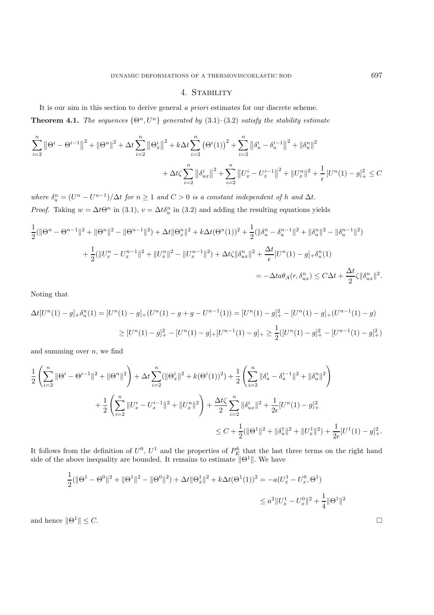## 4. Stability

It is our aim in this section to derive general *a priori* estimates for our discrete scheme. **Theorem 4.1.** *The sequences*  $\{\Theta^n, U^n\}$  *generated by* (3.1)–(3.2) *satisfy the stability estimate* 

$$
\sum_{i=2}^{n} \left\| \Theta^{i} - \Theta^{i-1} \right\|^{2} + \left\| \Theta^{n} \right\|^{2} + \Delta t \sum_{i=2}^{n} \left\| \Theta_{x}^{i} \right\|^{2} + k \Delta t \sum_{i=2}^{n} \left( \Theta^{i} (1) \right)^{2} + \sum_{i=2}^{n} \left\| \delta_{u}^{i} - \delta_{u}^{i-1} \right\|^{2} + \left\| \delta_{u}^{n} \right\|^{2} + \Delta t \sum_{i=2}^{n} \left\| \delta_{ux}^{i} \right\|^{2} + \sum_{i=2}^{n} \left\| U_{x}^{i} - U_{x}^{i-1} \right\|^{2} + \left\| U_{x}^{n} \right\|^{2} + \frac{1}{\epsilon} \left[ U^{n} (1) - g \right]_{+}^{2} \leq C
$$

where  $\delta_u^n = (U^n - U^{n-1})/\Delta t$  *for*  $n \ge 1$  *and*  $C > 0$  *is a constant independent of* h *and*  $\Delta t$ . *Proof.* Taking  $w = \Delta t \Theta^n$  in (3.1),  $v = \Delta t \delta_u^n$  in (3.2) and adding the resulting equations yields

$$
\frac{1}{2}(\|\Theta^n - \Theta^{n-1}\|^2 + \|\Theta^n\|^2 - \|\Theta^{n-1}\|^2) + \Delta t \|\Theta^n_x\|^2 + k\Delta t (\Theta^n(1))^2 + \frac{1}{2}(\|\delta^n_u - \delta^{n-1}_u\|^2 + \|\delta^n_u\|^2 - \|\delta^{n-1}_u\|^2)
$$

$$
+ \frac{1}{2}(\|U^n_x - U^{n-1}_x\|^2 + \|U^n_x\|^2 - \|U^n_x\|^2) + \Delta t \zeta \|\delta^n_{ux}\|^2 + \frac{\Delta t}{\epsilon} [U^n(1) - g]_+ \delta^n_u(1)
$$

$$
= -\Delta t a \theta_A(r, \delta^n_{ux}) \le C\Delta t + \frac{\Delta t}{2} \zeta \|\delta^n_{ux}\|^2.
$$

Noting that

$$
\Delta t[U^n(1) - g]_+ \delta_u^n(1) = [U^n(1) - g]_+ (U^n(1) - g + g - U^{n-1}(1)) = [U^n(1) - g]_+^2 - [U^n(1) - g]_+ (U^{n-1}(1) - g)
$$
  
\n
$$
\geq [U^n(1) - g]_+^2 - [U^n(1) - g]_+ [U^{n-1}(1) - g]_+ \geq \frac{1}{2} ([U^n(1) - g]_+^2 - [U^{n-1}(1) - g]_+^2)
$$

and summing over  $n$ , we find

$$
\begin{split} \frac{1}{2}\left(\sum_{i=2}^{n}\|\Theta^{i}-\Theta^{i-1}\|^{2}+\|\Theta^{n}\|^{2}\right) + \Delta t\sum_{i=2}^{n}(\|\Theta^{i}_{x}\|^{2}+k(\Theta^{i}(1))^{2}) + \frac{1}{2}\left(\sum_{i=2}^{n}\|\delta^{i}_{u}-\delta^{i-1}_{u}\|^{2}+\|\delta^{n}_{u}\|^{2}\right) \\ & + \frac{1}{2}\left(\sum_{i=2}^{n}\|U^{i}_{x}-U^{i-1}_{x}\|^{2}+\|U^{n}_{x}\|^{2}\right) + \frac{\Delta t\zeta}{2}\sum_{i=2}^{n}\|\delta^{i}_{ux}\|^{2} + \frac{1}{2\epsilon}[U^{n}(1)-g]_{+}^{2} \\ & \leq C + \frac{1}{2}(\|\Theta^{1}\|^{2}+\|\delta^{1}_{u}\|^{2}+\|U^{1}_{x}\|^{2}) + \frac{1}{2\epsilon}[U^{1}(1)-g]_{+}^{2} . \end{split}
$$

It follows from the definition of  $U^0$ ,  $U^1$  and the properties of  $P_E^h$  that the last three terms on the right hand side of the above inequality are bounded. It remains to estimate  $\|\Theta^1\|$ . We have

$$
\frac{1}{2}(\|\Theta^1 - \Theta^0\|^2 + \|\Theta^1\|^2 - \|\Theta^0\|^2) + \Delta t \|\Theta_x^1\|^2 + k\Delta t (\Theta^1(1))^2 = -a(U_x^1 - U_x^0, \Theta^1)
$$
  

$$
\leq a^2 \|U_x^1 - U_x^0\|^2 + \frac{1}{4}\|\Theta^1\|^2
$$

and hence  $\|\Theta^1\| \leq C$ .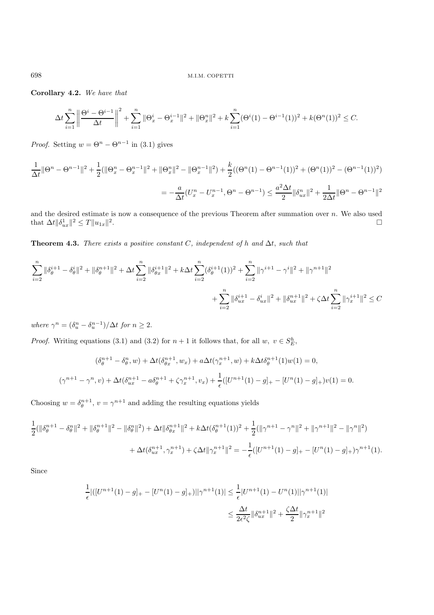**Corollary 4.2.** *We have that*

$$
\Delta t \sum_{i=1}^{n} \left\| \frac{\Theta^{i} - \Theta^{i-1}}{\Delta t} \right\|^{2} + \sum_{i=1}^{n} \|\Theta_{x}^{i} - \Theta_{x}^{i-1}\|^{2} + \|\Theta_{x}^{n}\|^{2} + k \sum_{i=1}^{n} (\Theta^{i}(1) - \Theta^{i-1}(1))^{2} + k(\Theta^{n}(1))^{2} \leq C.
$$

*Proof.* Setting  $w = \Theta^n - \Theta^{n-1}$  in (3.1) gives

$$
\frac{1}{\Delta t} \|\Theta^n - \Theta^{n-1}\|^2 + \frac{1}{2} (\|\Theta^n_x - \Theta^{n-1}_x\|^2 + \|\Theta^n_x\|^2 - \|\Theta^{n-1}_x\|^2) + \frac{k}{2} ((\Theta^n(1) - \Theta^{n-1}(1))^2 + (\Theta^n(1))^2 - (\Theta^{n-1}(1))^2)
$$

$$
= -\frac{a}{\Delta t} (U^n_x - U^{n-1}_x, \Theta^n - \Theta^{n-1}) \le \frac{a^2 \Delta t}{2} \|\delta^n_{ux}\|^2 + \frac{1}{2\Delta t} \|\Theta^n - \Theta^{n-1}\|^2
$$

and the desired estimate is now a consequence of the previous Theorem after summation over  $n$ . We also used that  $\Delta t \|\delta_{ux}^1\|^2 \le T \|u_{1x}\|^2$ .

**Theorem 4.3.** *There exists a positive constant* C*, independent of* h *and* ∆t, *such that*

$$
\sum_{i=2}^{n} \|\delta_{\theta}^{i+1} - \delta_{\theta}^{i}\|^{2} + \|\delta_{\theta}^{n+1}\|^{2} + \Delta t \sum_{i=2}^{n} \|\delta_{\theta x}^{i+1}\|^{2} + k\Delta t \sum_{i=2}^{n} (\delta_{\theta}^{i+1}(1))^{2} + \sum_{i=2}^{n} \|\gamma^{i+1} - \gamma^{i}\|^{2} + \|\gamma^{n+1}\|^{2}
$$
  
+ 
$$
\sum_{i=2}^{n} \|\delta_{ux}^{i+1} - \delta_{ux}^{i}\|^{2} + \|\delta_{ux}^{n+1}\|^{2} + \zeta \Delta t \sum_{i=2}^{n} \|\gamma_{x}^{i+1}\|^{2} \leq C
$$

*where*  $\gamma^n = (\delta_u^n - \delta_u^{n-1})/\Delta t$  *for*  $n \geq 2$ .

*Proof.* Writing equations (3.1) and (3.2) for  $n + 1$  it follows that, for all  $w, v \in S_E^h$ ,

$$
(\delta_{\theta}^{n+1} - \delta_{\theta}^{n}, w) + \Delta t (\delta_{\theta x}^{n+1}, w_{x}) + a \Delta t (\gamma_{x}^{n+1}, w) + k \Delta t \delta_{\theta}^{n+1}(1)w(1) = 0,
$$
  

$$
(\gamma^{n+1} - \gamma^{n}, v) + \Delta t (\delta_{ux}^{n+1} - a \delta_{\theta}^{n+1} + \zeta \gamma_{x}^{n+1}, v_{x}) + \frac{1}{\epsilon} ([U^{n+1}(1) - g]_{+} - [U^{n}(1) - g]_{+})v(1) = 0.
$$

Choosing  $w = \delta_{\theta}^{n+1}$ ,  $v = \gamma^{n+1}$  and adding the resulting equations yields

$$
\frac{1}{2}(\|\delta_{\theta}^{n+1} - \delta_{\theta}^{n}\|^{2} + \|\delta_{\theta}^{n+1}\|^{2} - \|\delta_{\theta}^{n}\|^{2}) + \Delta t \|\delta_{\theta}^{n+1}\|^{2} + k\Delta t (\delta_{\theta}^{n+1}(1))^{2} + \frac{1}{2}(\|\gamma^{n+1} - \gamma^{n}\|^{2} + \|\gamma^{n+1}\|^{2} - \|\gamma^{n}\|^{2})
$$

$$
+ \Delta t (\delta_{ux}^{n+1}, \gamma_{x}^{n+1}) + \zeta \Delta t \|\gamma_{x}^{n+1}\|^{2} = -\frac{1}{\epsilon}([U^{n+1}(1) - g]_{+} - [U^{n}(1) - g]_{+})\gamma^{n+1}(1).
$$

Since

$$
\frac{1}{\epsilon} |([U^{n+1}(1) - g]_+ - [U^n(1) - g]_+)| |\gamma^{n+1}(1)| \le \frac{1}{\epsilon} |U^{n+1}(1) - U^n(1)||\gamma^{n+1}(1)|
$$
  

$$
\le \frac{\Delta t}{2\epsilon^2 \zeta} \|\delta_{ux}^{n+1}\|^2 + \frac{\zeta \Delta t}{2} \|\gamma_x^{n+1}\|^2
$$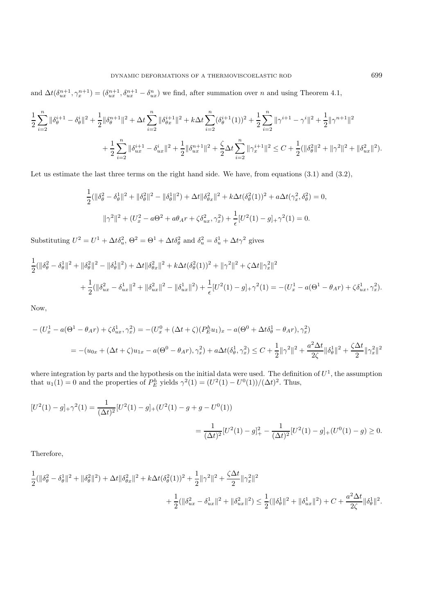and  $\Delta t(\delta_{ux}^{n+1}, \gamma_x^{n+1}) = (\delta_{ux}^{n+1}, \delta_{ux}^{n+1} - \delta_{ux}^{n})$  we find, after summation over n and using Theorem 4.1,

$$
\frac{1}{2}\sum_{i=2}^{n}\|\delta_{\theta}^{i+1}-\delta_{\theta}^{i}\|^{2}+\frac{1}{2}\|\delta_{\theta}^{n+1}\|^{2}+\Delta t\sum_{i=2}^{n}\|\delta_{\theta x}^{i+1}\|^{2}+k\Delta t\sum_{i=2}^{n}(\delta_{\theta}^{i+1}(1))^{2}+\frac{1}{2}\sum_{i=2}^{n}\|\gamma^{i+1}-\gamma^{i}\|^{2}+\frac{1}{2}\|\gamma^{n+1}\|^{2}
$$

$$
+\frac{1}{2}\sum_{i=2}^{n}\|\delta_{ux}^{i+1}-\delta_{ux}^{i}\|^{2}+\frac{1}{2}\|\delta_{ux}^{n+1}\|^{2}+\frac{\zeta}{2}\Delta t\sum_{i=2}^{n}\|\gamma_{x}^{i+1}\|^{2}\leq C+\frac{1}{2}(\|\delta_{\theta}^{2}\|^{2}+\|\gamma^{2}\|^{2}+\|\delta_{ux}^{2}\|^{2}).
$$

Let us estimate the last three terms on the right hand side. We have, from equations  $(3.1)$  and  $(3.2)$ ,

$$
\frac{1}{2}(\|\delta^2_{\theta} - \delta^1_{\theta}\|^2 + \|\delta^2_{\theta}\|^2 - \|\delta^1_{\theta}\|^2) + \Delta t \|\delta^2_{\theta x}\|^2 + k \Delta t (\delta^2_{\theta}(1))^2 + a \Delta t (\gamma_x^2, \delta^2_{\theta}) = 0,
$$
  

$$
\|\gamma^2\|^2 + (U_x^2 - a\Theta^2 + a\theta_A r + \zeta \delta_{ux}^2, \gamma_x^2) + \frac{1}{\epsilon} [U^2(1) - g]_+ \gamma^2(1) = 0.
$$

Substituting  $U^2 = U^1 + \Delta t \delta_u^2$ ,  $\Theta^2 = \Theta^1 + \Delta t \delta_\theta^2$  and  $\delta_u^2 = \delta_u^1 + \Delta t \gamma^2$  gives

$$
\frac{1}{2}(\|\delta^2_{\theta} - \delta^1_{\theta}\|^2 + \|\delta^2_{\theta}\|^2 - \|\delta^1_{\theta}\|^2) + \Delta t \|\delta^2_{\theta x}\|^2 + k \Delta t (\delta^2_{\theta}(1))^2 + \|\gamma^2\|^2 + \zeta \Delta t \|\gamma^2_x\|^2 \n+ \frac{1}{2}(\|\delta^2_{ux} - \delta^1_{ux}\|^2 + \|\delta^2_{ux}\|^2 - \|\delta^1_{ux}\|^2) + \frac{1}{\epsilon} [U^2(1) - g]_+ \gamma^2(1) = -(U^1_x - a(\Theta^1 - \theta_A r) + \zeta \delta^1_{ux}, \gamma^2_x).
$$

Now,

$$
-(U_x^1 - a(\Theta^1 - \theta_A r) + \zeta \delta_{ux}^1, \gamma_x^2) = -(U_x^0 + (\Delta t + \zeta)(P_E^h u_1)_x - a(\Theta^0 + \Delta t \delta_\theta^1 - \theta_A r), \gamma_x^2)
$$
  
= 
$$
-(u_{0x} + (\Delta t + \zeta)u_{1x} - a(\Theta^0 - \theta_A r), \gamma_x^2) + a\Delta t(\delta_\theta^1, \gamma_x^2) \leq C + \frac{1}{2} ||\gamma^2||^2 + \frac{a^2 \Delta t}{2\zeta} ||\delta_\theta^1||^2 + \frac{\zeta \Delta t}{2} ||\gamma_x^2||^2
$$

where integration by parts and the hypothesis on the initial data were used. The definition of  $U^1$ , the assumption that  $u_1(1) = 0$  and the properties of  $P_E^h$  yields  $\gamma^2(1) = (U^2(1) - U^0(1)) / (\Delta t)^2$ . Thus,

$$
[U^2(1) - g]_+ \gamma^2(1) = \frac{1}{(\Delta t)^2} [U^2(1) - g]_+ (U^2(1) - g + g - U^0(1))
$$
  
= 
$$
\frac{1}{(\Delta t)^2} [U^2(1) - g]_+^2 - \frac{1}{(\Delta t)^2} [U^2(1) - g]_+ (U^0(1) - g) \ge 0.
$$

Therefore,

$$
\begin{aligned}\frac{1}{2}(\|\delta_\theta^2-\delta_\theta^1\|^2+\|\delta_\theta^2\|^2)+\Delta t\|\delta_{\theta x}^2\|^2&+k\Delta t(\delta_\theta^2(1))^2+\frac{1}{2}\|\gamma^2\|^2+\frac{\zeta\Delta t}{2}\|\gamma_x^2\|^2\\&+\frac{1}{2}(\|\delta_{ux}^2-\delta_{ux}^1\|^2+\|\delta_{ux}^2\|^2)\leq\frac{1}{2}(\|\delta_\theta^1\|^2+\|\delta_{ux}^1\|^2)+C+\frac{a^2\Delta t}{2\zeta}\|\delta_\theta^1\|^2.\end{aligned}
$$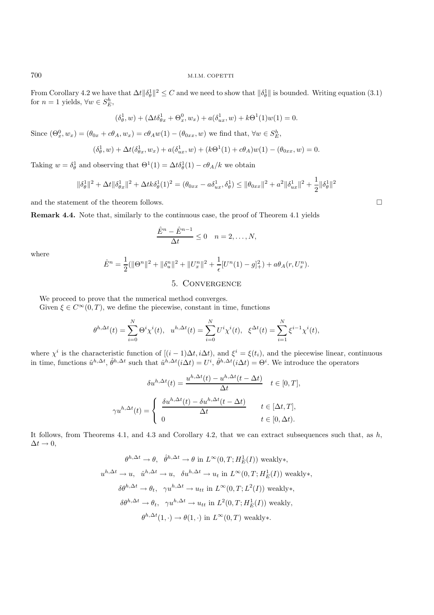From Corollary 4.2 we have that  $\Delta t \|\delta_\theta^1\|^2 \leq C$  and we need to show that  $\|\delta_\theta^1\|$  is bounded. Writing equation (3.1) for  $n = 1$  yields,  $\forall w \in S_E^h$ ,

$$
(\delta_{\theta}^1, w) + (\Delta t \delta_{\theta x}^1 + \Theta_x^0, w_x) + a(\delta_{ux}^1, w) + k\Theta^1(1)w(1) = 0.
$$

Since  $(\Theta_x^0, w_x) = (\theta_{0x} + c\theta_A, w_x) = c\theta_A w(1) - (\theta_{0xx}, w)$  we find that,  $\forall w \in S_E^h$ ,

$$
(\delta_{\theta}^1, w) + \Delta t(\delta_{\theta x}^1, w_x) + a(\delta_{ux}^1, w) + (k\Theta^1(1) + c\theta_A)w(1) - (\theta_{0xx}, w) = 0.
$$

Taking  $w = \delta_\theta^1$  and observing that  $\Theta^1(1) = \Delta t \delta_\theta^1(1) - c\theta_A/k$  we obtain

$$
\|\delta_\theta^1\|^2 + \Delta t \|\delta_{\theta x}^1\|^2 + \Delta t k \delta_\theta^1(1)^2 = (\theta_{0xx} - a\delta_{ux}^1, \delta_\theta^1) \le \|\theta_{0xx}\|^2 + a^2 \|\delta_{ux}^1\|^2 + \frac{1}{2} \|\delta_\theta^1\|^2
$$

and the statement of the theorem follows.  $\Box$ 

**Remark 4.4.** Note that, similarly to the continuous case, the proof of Theorem 4.1 yields

$$
\frac{\hat{E}^n - \hat{E}^{n-1}}{\Delta t} \le 0 \quad n = 2, \dots, N,
$$

where

$$
\hat{E}^n = \frac{1}{2}(\|\Theta^n\|^2 + \|\delta_u^n\|^2 + \|U_x^n\|^2 + \frac{1}{\epsilon}[U^n(1) - g]_+^2) + a\theta_A(r, U_x^n).
$$

# 5. Convergence

We proceed to prove that the numerical method converges. Given  $\xi \in C^{\infty}(0,T)$ , we define the piecewise, constant in time, functions

$$
\theta^{h,\Delta t}(t) = \sum_{i=0}^{N} \Theta^{i} \chi^{i}(t), \quad u^{h,\Delta t}(t) = \sum_{i=0}^{N} U^{i} \chi^{i}(t), \quad \xi^{\Delta t}(t) = \sum_{i=1}^{N} \xi^{i-1} \chi^{i}(t),
$$

where  $\chi^i$  is the characteristic function of  $[(i-1)\Delta t, i\Delta t)$ , and  $\xi^i = \xi(t_i)$ , and the piecewise linear, continuous in time, functions  $\hat{u}^{h,\Delta t}$ ,  $\hat{\theta}^{h,\Delta t}$  such that  $\hat{u}^{h,\Delta t}(i\Delta t) = U^i$ ,  $\hat{\theta}^{h,\Delta t}(i\Delta t) = \Theta^i$ . We introduce the operators

$$
\delta u^{h, \Delta t}(t) = \frac{u^{h, \Delta t}(t) - u^{h, \Delta t}(t - \Delta t)}{\Delta t} \quad t \in [0, T],
$$

$$
\gamma u^{h, \Delta t}(t) = \begin{cases} \frac{\delta u^{h, \Delta t}(t) - \delta u^{h, \Delta t}(t - \Delta t)}{\Delta t} & t \in [\Delta t, T], \\ 0 & t \in [0, \Delta t). \end{cases}
$$

It follows, from Theorems 4.1, and 4.3 and Corollary 4.2, that we can extract subsequences such that, as  $h$ ,  $\Delta t \rightarrow 0$ ,

$$
\theta^{h,\Delta t} \to \theta, \quad \hat{\theta}^{h,\Delta t} \to \theta \text{ in } L^{\infty}(0,T; H_E^1(I)) \text{ weakly*,}
$$
  
\n
$$
u^{h,\Delta t} \to u, \quad \hat{u}^{h,\Delta t} \to u, \quad \delta u^{h,\Delta t} \to u_t \text{ in } L^{\infty}(0,T; H_E^1(I)) \text{ weakly*,}
$$
  
\n
$$
\delta \theta^{h,\Delta t} \to \theta_t, \quad \gamma u^{h,\Delta t} \to u_{tt} \text{ in } L^{\infty}(0,T; L^2(I)) \text{ weakly*,}
$$
  
\n
$$
\delta \theta^{h,\Delta t} \to \theta_t, \quad \gamma u^{h,\Delta t} \to u_{tt} \text{ in } L^2(0,T; H_E^1(I)) \text{ weakly},
$$
  
\n
$$
\theta^{h,\Delta t}(1,\cdot) \to \theta(1,\cdot) \text{ in } L^{\infty}(0,T) \text{ weakly*}.
$$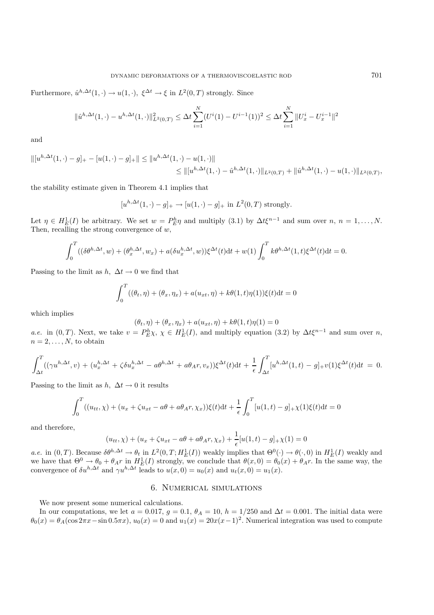Furthermore,  $\hat{u}^{h,\Delta t}(1,\cdot) \to u(1,\cdot), \xi^{\Delta t} \to \xi$  in  $L^2(0,T)$  strongly. Since

$$
\|\hat{u}^{h,\Delta t}(1,\cdot)-u^{h,\Delta t}(1,\cdot)\|_{L^2(0,T)}^2 \leq \Delta t \sum_{i=1}^N (U^i(1)-U^{i-1}(1))^2 \leq \Delta t \sum_{i=1}^N \|U_x^i-U_x^{i-1}\|^2
$$

and

$$
||[u^{h,\Delta t}(1,\cdot)-g]_{+}-[u(1,\cdot)-g]_{+}|| \leq ||u^{h,\Delta t}(1,\cdot)-u(1,\cdot)||
$$
  

$$
\leq ||[u^{h,\Delta t}(1,\cdot)-\hat{u}^{h,\Delta t}(1,\cdot)||_{L^{2}(0,T)}+||\hat{u}^{h,\Delta t}(1,\cdot)-u(1,\cdot)||_{L^{2}(0,T)},
$$

the stability estimate given in Theorem 4.1 implies that

$$
[u^{h,\Delta t}(1,\cdot)-g]_+\to[u(1,\cdot)-g]_+\text{ in }L^2(0,T)\text{ strongly.}
$$

Let  $\eta \in H_E^1(I)$  be arbitrary. We set  $w = P_E^h \eta$  and multiply (3.1) by  $\Delta t \xi^{n-1}$  and sum over  $n, n = 1, ..., N$ . Then, recalling the strong convergence of  $w$ ,

$$
\int_0^T \left( (\delta \theta^{h, \Delta t}, w) + (\theta_x^{h, \Delta t}, w_x) + a(\delta u_x^{h, \Delta t}, w) \right) \xi^{\Delta t}(t) dt + w(1) \int_0^T k \theta^{h, \Delta t}(1, t) \xi^{\Delta t}(t) dt = 0.
$$

Passing to the limit as  $h, \Delta t \rightarrow 0$  we find that

$$
\int_0^T ((\theta_t, \eta) + (\theta_x, \eta_x) + a(u_{xt}, \eta) + k\theta(1, t)\eta(1))\xi(t)dt = 0
$$

which implies

$$
(\theta_t, \eta) + (\theta_x, \eta_x) + a(u_{xt}, \eta) + k\theta(1, t)\eta(1) = 0
$$

*a.e.* in  $(0, T)$ . Next, we take  $v = P_E^h \chi$ ,  $\chi \in H_E^1(I)$ , and multiply equation (3.2) by  $\Delta t \xi^{n-1}$  and sum over *n*,  $n = 2, \ldots, N$ , to obtain

$$
\int_{\Delta t}^{T} ((\gamma u^{h,\Delta t}, v) + (u_x^{h,\Delta t} + \zeta \delta u_x^{h,\Delta t} - a\theta^{h,\Delta t} + a\theta_A r, v_x))\xi^{\Delta t}(t)dt + \frac{1}{\epsilon} \int_{\Delta t}^{T} [u^{h,\Delta t}(1,t) - g]_{+}v(1)\xi^{\Delta t}(t)dt = 0.
$$

Passing to the limit as  $h, \Delta t \rightarrow 0$  it results

$$
\int_0^T ((u_{tt}, \chi) + (u_x + \zeta u_{xt} - a\theta + a\theta_A r, \chi_x))\xi(t)dt + \frac{1}{\epsilon} \int_0^T [u(1, t) - g]_+ \chi(1)\xi(t)dt = 0
$$

and therefore,

$$
(u_{tt}, \chi) + (u_x + \zeta u_{xt} - a\theta + a\theta_A r, \chi_x) + \frac{1}{\epsilon} [u(1, t) - g]_{+} \chi(1) = 0
$$

*a.e.* in  $(0, T)$ . Because  $\delta \theta^{h, \Delta t} \to \theta_t$  in  $L^2(0, T; H_E^1(I))$  weakly implies that  $\Theta^0(\cdot) \to \theta(\cdot, 0)$  in  $H_E^1(I)$  weakly and we have that  $\Theta^0 \to \theta_0 + \theta_A r$  in  $H_E^1(I)$  strongly, we conclude that  $\theta(x, 0) = \theta_0(x) + \theta_A r$ . In the same way, the convergence of  $\delta u^{h,\Delta t}$  and  $\gamma u^{h,\Delta t}$  leads to  $u(x,0) = u_0(x)$  and  $u_t(x,0) = u_1(x)$ .

## 6. Numerical simulations

We now present some numerical calculations.

In our computations, we let  $a = 0.017$ ,  $g = 0.1$ ,  $\theta_A = 10$ ,  $h = 1/250$  and  $\Delta t = 0.001$ . The initial data were  $\theta_0(x) = \theta_A(\cos 2\pi x - \sin 0.5\pi x), u_0(x) = 0$  and  $u_1(x) = 20x(x-1)^2$ . Numerical integration was used to compute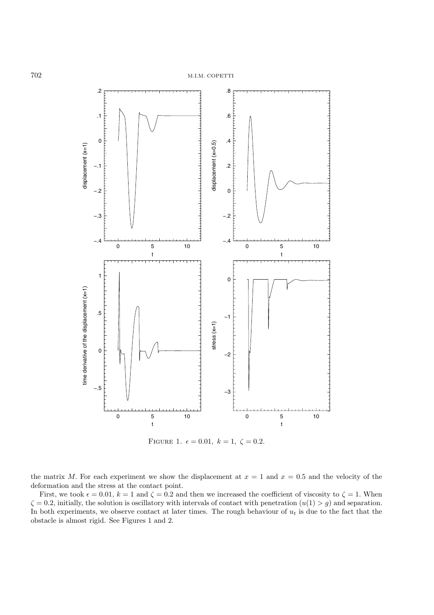

FIGURE 1.  $\epsilon = 0.01, k = 1, \zeta = 0.2.$ 

the matrix M. For each experiment we show the displacement at  $x = 1$  and  $x = 0.5$  and the velocity of the deformation and the stress at the contact point.

First, we took  $\epsilon = 0.01$ ,  $k = 1$  and  $\zeta = 0.2$  and then we increased the coefficient of viscosity to  $\zeta = 1$ . When  $\zeta = 0.2$ , initially, the solution is oscillatory with intervals of contact with penetration  $(u(1) > g)$  and separation. In both experiments, we observe contact at later times. The rough behaviour of  $u_t$  is due to the fact that the obstacle is almost rigid. See Figures 1 and 2.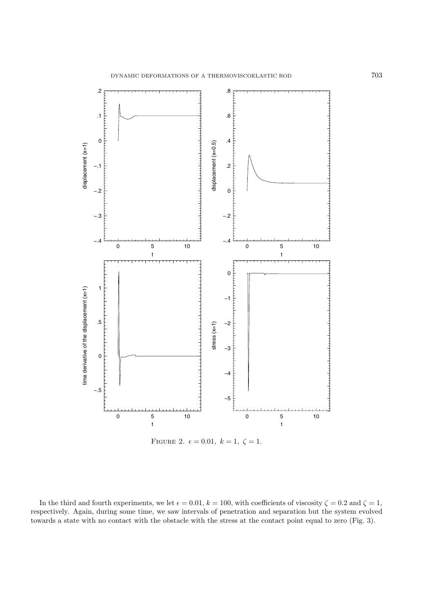

FIGURE 2.  $\epsilon = 0.01, k = 1, \zeta = 1.$ 

In the third and fourth experiments, we let  $\epsilon = 0.01$ ,  $k = 100$ , with coefficients of viscosity  $\zeta = 0.2$  and  $\zeta = 1$ , respectively. Again, during some time, we saw intervals of penetration and separation but the system evolved towards a state with no contact with the obstacle with the stress at the contact point equal to zero (Fig. 3).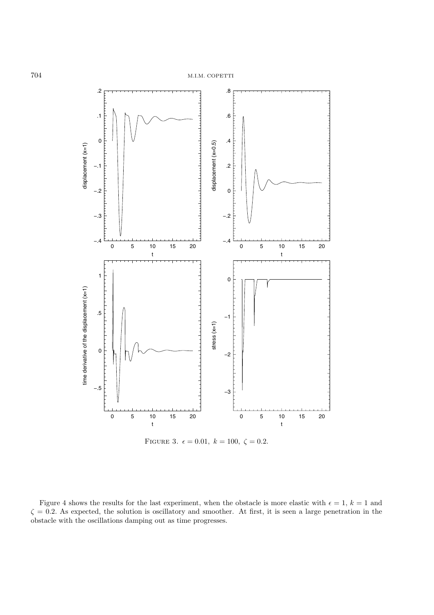

FIGURE 3.  $\epsilon = 0.01, k = 100, \zeta = 0.2.$ 

Figure 4 shows the results for the last experiment, when the obstacle is more elastic with  $\epsilon = 1, k = 1$  and  $\zeta = 0.2$ . As expected, the solution is oscillatory and smoother. At first, it is seen a large penetration in the obstacle with the oscillations damping out as time progresses.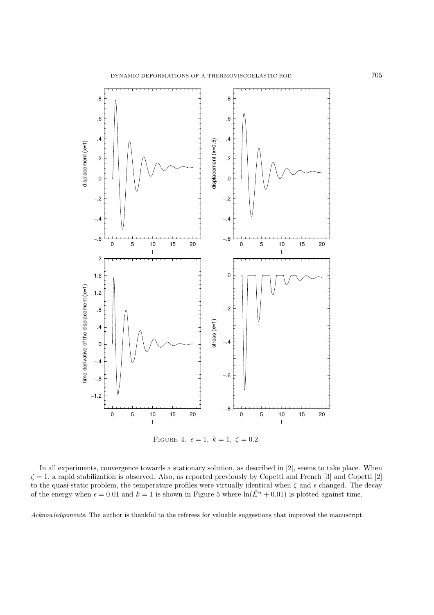

FIGURE 4.  $\epsilon = 1, k = 1, \zeta = 0.2$ .

In all experiments, convergence towards a stationary solution, as described in [2], seems to take place. When  $\zeta = 1$ , a rapid stabilization is observed. Also, as reported previously by Copetti and French [3] and Copetti [2] to the quasi-static problem, the temperature profiles were virtually identical when  $\zeta$  and  $\epsilon$  changed. The decay of the energy when  $\epsilon = 0.01$  and  $k = 1$  is shown in Figure 5 where  $\ln(\hat{E}^n + 0.01)$  is plotted against time.

*Acknowledgements*. The author is thankful to the referees for valuable suggestions that improved the manuscript.